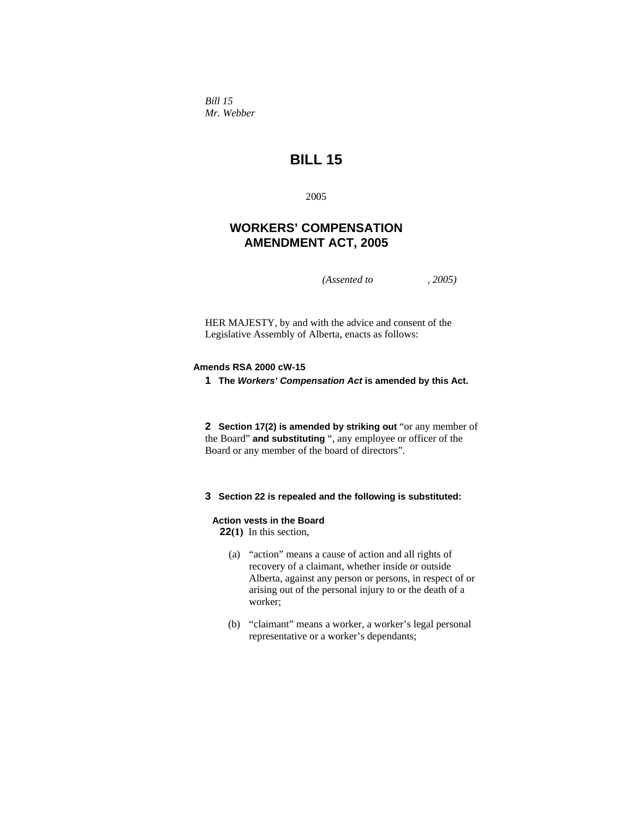*Bill 15 Mr. Webber* 

# **BILL 15**

2005

## **WORKERS' COMPENSATION AMENDMENT ACT, 2005**

*(Assented to , 2005)* 

HER MAJESTY, by and with the advice and consent of the Legislative Assembly of Alberta, enacts as follows:

## **Amends RSA 2000 cW-15**

**1 The** *Workers' Compensation Act* **is amended by this Act.** 

**2 Section 17(2) is amended by striking out** "or any member of the Board" **and substituting** ", any employee or officer of the Board or any member of the board of directors".

## **3 Section 22 is repealed and the following is substituted:**

### **Action vests in the Board**

**22(1)** In this section,

- (a) "action" means a cause of action and all rights of recovery of a claimant, whether inside or outside Alberta, against any person or persons, in respect of or arising out of the personal injury to or the death of a worker;
- (b) "claimant" means a worker, a worker's legal personal representative or a worker's dependants;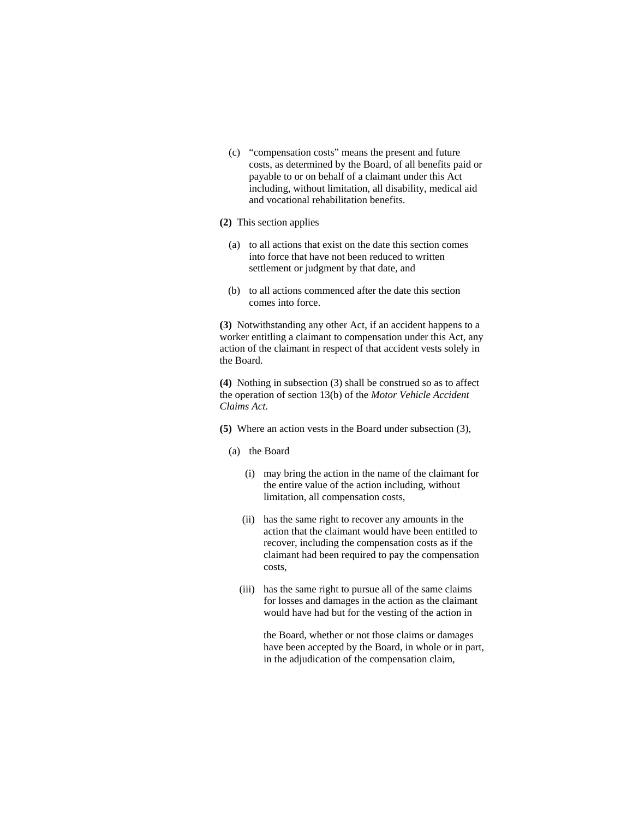(c) "compensation costs" means the present and future costs, as determined by the Board, of all benefits paid or payable to or on behalf of a claimant under this Act including, without limitation, all disability, medical aid and vocational rehabilitation benefits.

## **(2)** This section applies

- (a) to all actions that exist on the date this section comes into force that have not been reduced to written settlement or judgment by that date, and
- (b) to all actions commenced after the date this section comes into force.

**(3)** Notwithstanding any other Act, if an accident happens to a worker entitling a claimant to compensation under this Act, any action of the claimant in respect of that accident vests solely in the Board.

**(4)** Nothing in subsection (3) shall be construed so as to affect the operation of section 13(b) of the *Motor Vehicle Accident Claims Act*.

- **(5)** Where an action vests in the Board under subsection (3),
	- (a) the Board
		- (i) may bring the action in the name of the claimant for the entire value of the action including, without limitation, all compensation costs,
		- (ii) has the same right to recover any amounts in the action that the claimant would have been entitled to recover, including the compensation costs as if the claimant had been required to pay the compensation costs,
		- (iii) has the same right to pursue all of the same claims for losses and damages in the action as the claimant would have had but for the vesting of the action in

 the Board, whether or not those claims or damages have been accepted by the Board, in whole or in part, in the adjudication of the compensation claim,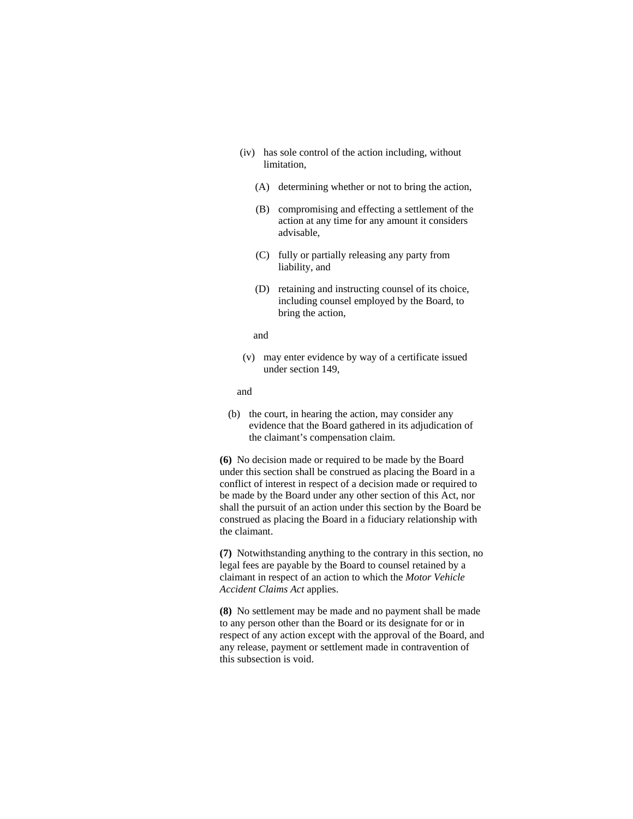- (iv) has sole control of the action including, without limitation,
	- (A) determining whether or not to bring the action,
	- (B) compromising and effecting a settlement of the action at any time for any amount it considers advisable,
	- (C) fully or partially releasing any party from liability, and
	- (D) retaining and instructing counsel of its choice, including counsel employed by the Board, to bring the action,

## and

 (v) may enter evidence by way of a certificate issued under section 149,

## and

 (b) the court, in hearing the action, may consider any evidence that the Board gathered in its adjudication of the claimant's compensation claim.

**(6)** No decision made or required to be made by the Board under this section shall be construed as placing the Board in a conflict of interest in respect of a decision made or required to be made by the Board under any other section of this Act, nor shall the pursuit of an action under this section by the Board be construed as placing the Board in a fiduciary relationship with the claimant.

**(7)** Notwithstanding anything to the contrary in this section, no legal fees are payable by the Board to counsel retained by a claimant in respect of an action to which the *Motor Vehicle Accident Claims Act* applies.

**(8)** No settlement may be made and no payment shall be made to any person other than the Board or its designate for or in respect of any action except with the approval of the Board, and any release, payment or settlement made in contravention of this subsection is void.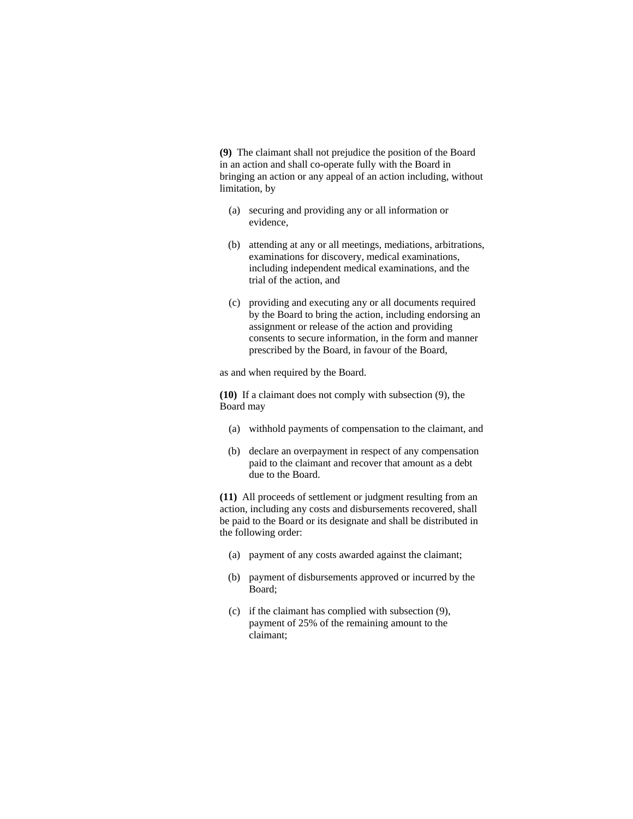**(9)** The claimant shall not prejudice the position of the Board in an action and shall co-operate fully with the Board in bringing an action or any appeal of an action including, without limitation, by

- (a) securing and providing any or all information or evidence,
- (b) attending at any or all meetings, mediations, arbitrations, examinations for discovery, medical examinations, including independent medical examinations, and the trial of the action, and
- (c) providing and executing any or all documents required by the Board to bring the action, including endorsing an assignment or release of the action and providing consents to secure information, in the form and manner prescribed by the Board, in favour of the Board,

as and when required by the Board.

**(10)** If a claimant does not comply with subsection (9), the Board may

- (a) withhold payments of compensation to the claimant, and
- (b) declare an overpayment in respect of any compensation paid to the claimant and recover that amount as a debt due to the Board.

**(11)** All proceeds of settlement or judgment resulting from an action, including any costs and disbursements recovered, shall be paid to the Board or its designate and shall be distributed in the following order:

- (a) payment of any costs awarded against the claimant;
- (b) payment of disbursements approved or incurred by the Board;
- (c) if the claimant has complied with subsection (9), payment of 25% of the remaining amount to the claimant;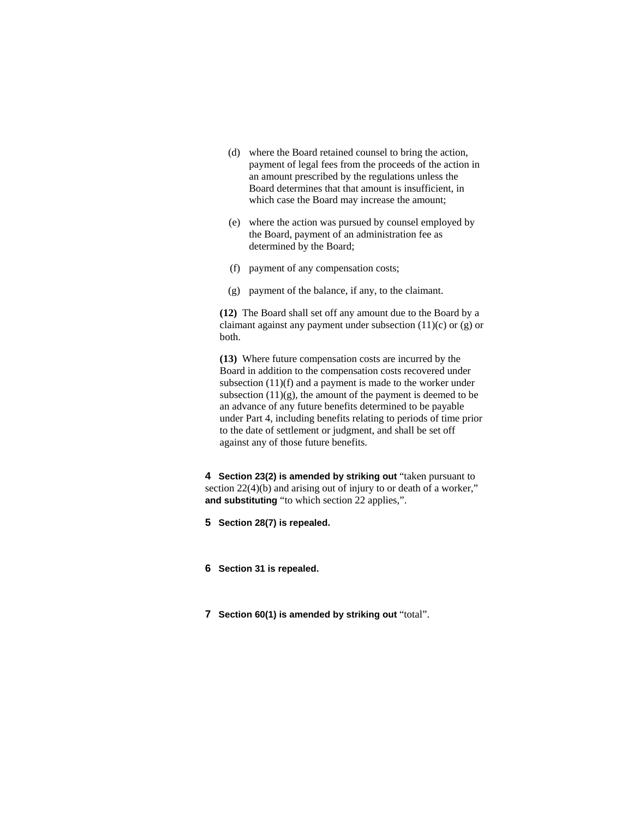- (d) where the Board retained counsel to bring the action, payment of legal fees from the proceeds of the action in an amount prescribed by the regulations unless the Board determines that that amount is insufficient, in which case the Board may increase the amount;
- (e) where the action was pursued by counsel employed by the Board, payment of an administration fee as determined by the Board;
- (f) payment of any compensation costs;
- (g) payment of the balance, if any, to the claimant.

**(12)** The Board shall set off any amount due to the Board by a claimant against any payment under subsection (11)(c) or (g) or both.

**(13)** Where future compensation costs are incurred by the Board in addition to the compensation costs recovered under subsection  $(11)(f)$  and a payment is made to the worker under subsection  $(11)(g)$ , the amount of the payment is deemed to be an advance of any future benefits determined to be payable under Part 4, including benefits relating to periods of time prior to the date of settlement or judgment, and shall be set off against any of those future benefits.

**4 Section 23(2) is amended by striking out** "taken pursuant to section 22(4)(b) and arising out of injury to or death of a worker," **and substituting** "to which section 22 applies,".

**5 Section 28(7) is repealed.** 

**6 Section 31 is repealed.** 

**7 Section 60(1) is amended by striking out** "total".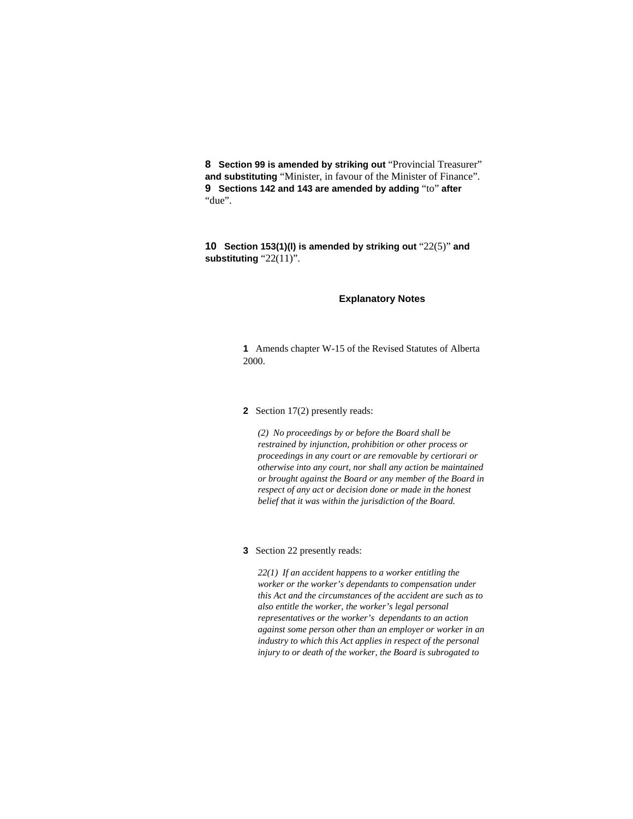**8 Section 99 is amended by striking out** "Provincial Treasurer" **and substituting** "Minister, in favour of the Minister of Finance". **9 Sections 142 and 143 are amended by adding** "to" **after**  "due".

**10 Section 153(1)(l) is amended by striking out** "22(5)" **and substituting** "22(11)".

## **Explanatory Notes**

**1** Amends chapter W-15 of the Revised Statutes of Alberta 2000.

## **2** Section 17(2) presently reads:

*(2) No proceedings by or before the Board shall be restrained by injunction, prohibition or other process or proceedings in any court or are removable by certiorari or otherwise into any court, nor shall any action be maintained or brought against the Board or any member of the Board in respect of any act or decision done or made in the honest belief that it was within the jurisdiction of the Board.* 

## **3** Section 22 presently reads:

*22(1) If an accident happens to a worker entitling the worker or the worker's dependants to compensation under this Act and the circumstances of the accident are such as to also entitle the worker, the worker's legal personal representatives or the worker's dependants to an action against some person other than an employer or worker in an industry to which this Act applies in respect of the personal injury to or death of the worker, the Board is subrogated to*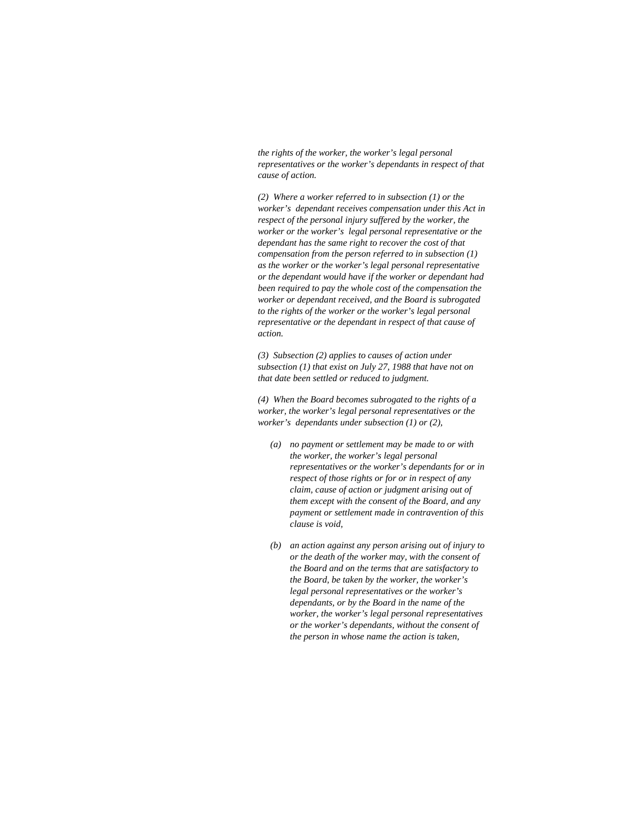*the rights of the worker, the worker's legal personal representatives or the worker's dependants in respect of that cause of action.* 

*(2) Where a worker referred to in subsection (1) or the worker's dependant receives compensation under this Act in respect of the personal injury suffered by the worker, the worker or the worker's legal personal representative or the dependant has the same right to recover the cost of that compensation from the person referred to in subsection (1) as the worker or the worker's legal personal representative or the dependant would have if the worker or dependant had been required to pay the whole cost of the compensation the worker or dependant received, and the Board is subrogated to the rights of the worker or the worker's legal personal representative or the dependant in respect of that cause of action.* 

*(3) Subsection (2) applies to causes of action under subsection (1) that exist on July 27, 1988 that have not on that date been settled or reduced to judgment.* 

*(4) When the Board becomes subrogated to the rights of a worker, the worker's legal personal representatives or the worker's dependants under subsection (1) or (2),* 

- *(a) no payment or settlement may be made to or with the worker, the worker's legal personal representatives or the worker's dependants for or in respect of those rights or for or in respect of any claim, cause of action or judgment arising out of them except with the consent of the Board, and any payment or settlement made in contravention of this clause is void,*
- *(b) an action against any person arising out of injury to or the death of the worker may, with the consent of the Board and on the terms that are satisfactory to the Board, be taken by the worker, the worker's legal personal representatives or the worker's dependants, or by the Board in the name of the worker, the worker's legal personal representatives or the worker's dependants, without the consent of the person in whose name the action is taken,*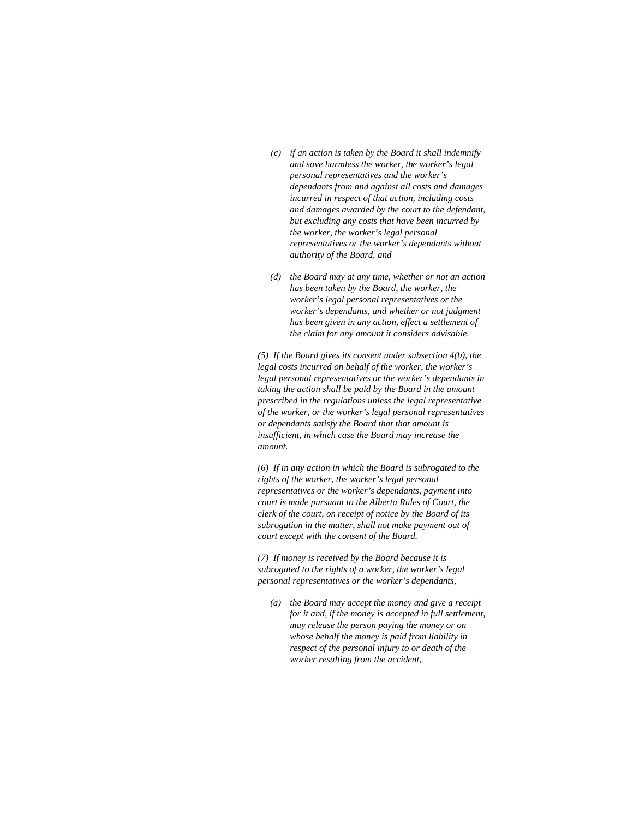- *(c) if an action is taken by the Board it shall indemnify and save harmless the worker, the worker's legal personal representatives and the worker's dependants from and against all costs and damages incurred in respect of that action, including costs and damages awarded by the court to the defendant, but excluding any costs that have been incurred by the worker, the worker's legal personal representatives or the worker's dependants without authority of the Board, and*
- *(d) the Board may at any time, whether or not an action has been taken by the Board, the worker, the worker's legal personal representatives or the worker's dependants, and whether or not judgment has been given in any action, effect a settlement of the claim for any amount it considers advisable.*

*(5) If the Board gives its consent under subsection 4(b), the legal costs incurred on behalf of the worker, the worker's legal personal representatives or the worker's dependants in taking the action shall be paid by the Board in the amount prescribed in the regulations unless the legal representative of the worker, or the worker's legal personal representatives or dependants satisfy the Board that that amount is insufficient, in which case the Board may increase the amount.* 

*(6) If in any action in which the Board is subrogated to the rights of the worker, the worker's legal personal representatives or the worker's dependants, payment into court is made pursuant to the Alberta Rules of Court, the clerk of the court, on receipt of notice by the Board of its subrogation in the matter, shall not make payment out of court except with the consent of the Board.* 

*(7) If money is received by the Board because it is subrogated to the rights of a worker, the worker's legal personal representatives or the worker's dependants,* 

*(a) the Board may accept the money and give a receipt for it and, if the money is accepted in full settlement, may release the person paying the money or on whose behalf the money is paid from liability in respect of the personal injury to or death of the worker resulting from the accident,*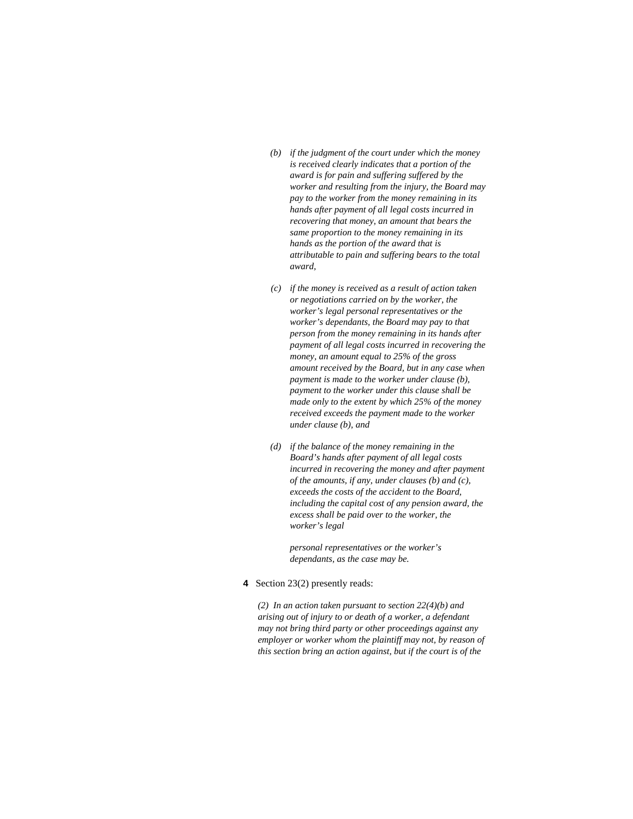- *(b) if the judgment of the court under which the money is received clearly indicates that a portion of the award is for pain and suffering suffered by the worker and resulting from the injury, the Board may pay to the worker from the money remaining in its hands after payment of all legal costs incurred in recovering that money, an amount that bears the same proportion to the money remaining in its hands as the portion of the award that is attributable to pain and suffering bears to the total award,*
- *(c) if the money is received as a result of action taken or negotiations carried on by the worker, the worker's legal personal representatives or the worker's dependants, the Board may pay to that person from the money remaining in its hands after payment of all legal costs incurred in recovering the money, an amount equal to 25% of the gross amount received by the Board, but in any case when payment is made to the worker under clause (b), payment to the worker under this clause shall be made only to the extent by which 25% of the money received exceeds the payment made to the worker under clause (b), and*
- *(d) if the balance of the money remaining in the Board's hands after payment of all legal costs incurred in recovering the money and after payment of the amounts, if any, under clauses (b) and (c), exceeds the costs of the accident to the Board, including the capital cost of any pension award, the excess shall be paid over to the worker, the worker's legal*

 *personal representatives or the worker's dependants, as the case may be.* 

**4** Section 23(2) presently reads:

*(2) In an action taken pursuant to section 22(4)(b) and arising out of injury to or death of a worker, a defendant may not bring third party or other proceedings against any employer or worker whom the plaintiff may not, by reason of this section bring an action against, but if the court is of the*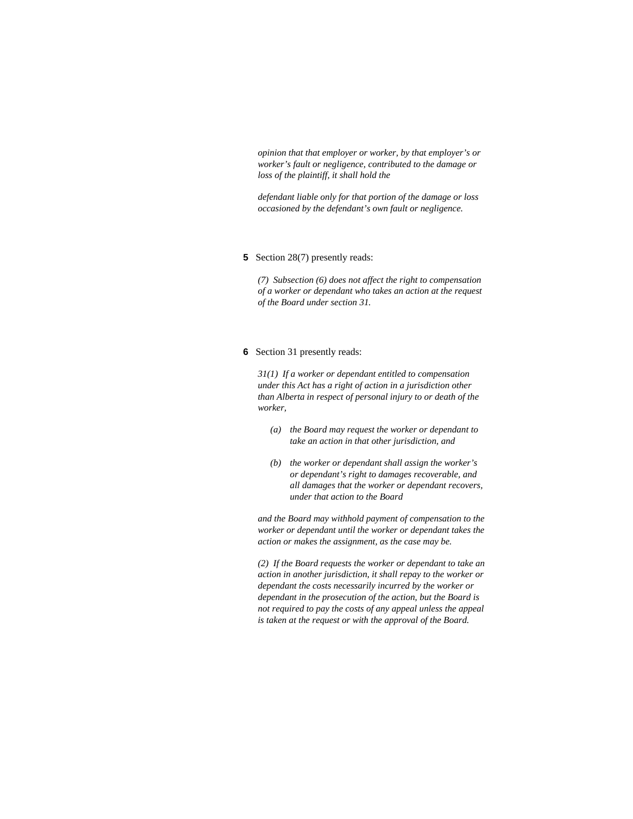*opinion that that employer or worker, by that employer's or worker's fault or negligence, contributed to the damage or loss of the plaintiff, it shall hold the* 

*defendant liable only for that portion of the damage or loss occasioned by the defendant's own fault or negligence.* 

#### **5** Section 28(7) presently reads:

*(7) Subsection (6) does not affect the right to compensation of a worker or dependant who takes an action at the request of the Board under section 31.* 

#### **6** Section 31 presently reads:

*31(1) If a worker or dependant entitled to compensation under this Act has a right of action in a jurisdiction other than Alberta in respect of personal injury to or death of the worker,* 

- *(a) the Board may request the worker or dependant to take an action in that other jurisdiction, and*
- *(b) the worker or dependant shall assign the worker's or dependant's right to damages recoverable, and all damages that the worker or dependant recovers, under that action to the Board*

*and the Board may withhold payment of compensation to the worker or dependant until the worker or dependant takes the action or makes the assignment, as the case may be.* 

*(2) If the Board requests the worker or dependant to take an action in another jurisdiction, it shall repay to the worker or dependant the costs necessarily incurred by the worker or dependant in the prosecution of the action, but the Board is not required to pay the costs of any appeal unless the appeal is taken at the request or with the approval of the Board.*